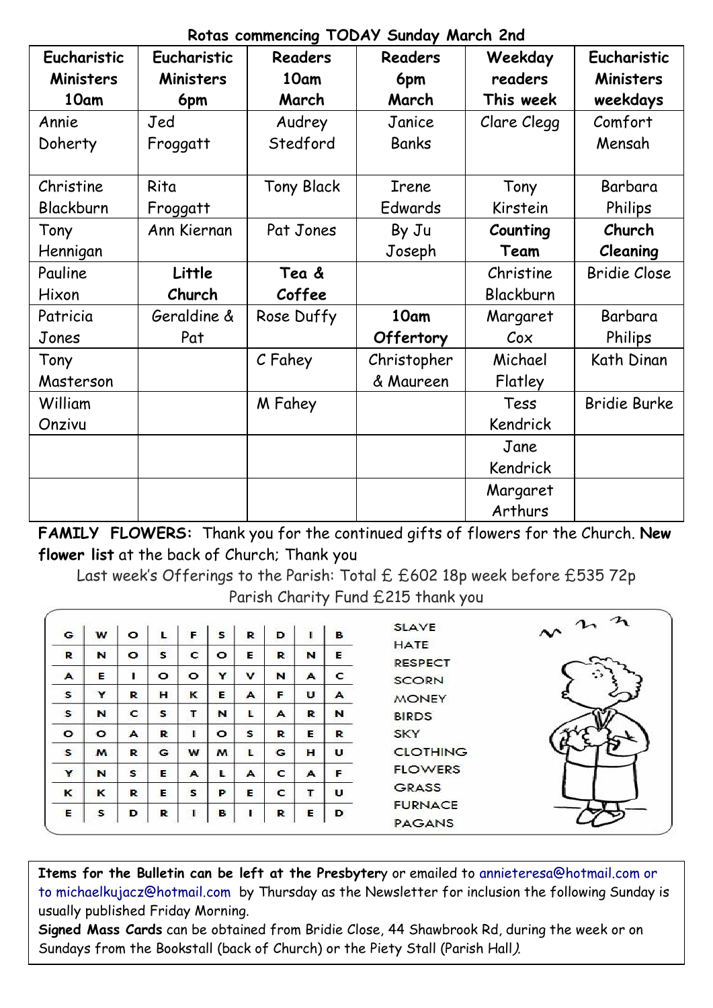### **Rotas commencing TODAY Sunday March 2nd**

| Eucharistic<br><b>Ministers</b> | Eucharistic<br><b>Ministers</b> | <b>Readers</b><br>10am | <b>Readers</b><br>6pm | Weekday<br>readers | Eucharistic<br><b>Ministers</b> |
|---------------------------------|---------------------------------|------------------------|-----------------------|--------------------|---------------------------------|
| 10am                            | 6pm                             | March                  | March                 | This week          | weekdays                        |
| Annie                           | Jed                             | Audrey                 | Janice                | Clare Clegg        | Comfort                         |
| Doherty                         | Froggatt                        | Stedford               | Banks                 |                    | Mensah                          |
| Christine                       | Rita                            | <b>Tony Black</b>      | Irene                 | Tony               | Barbara                         |
| Blackburn                       | Froggatt                        |                        | Edwards               | Kirstein           | Philips                         |
| Tony                            | Ann Kiernan                     | Pat Jones              | By Ju                 | Counting           | Church                          |
| Hennigan                        |                                 |                        | Joseph                | Team               | Cleaning                        |
| Pauline                         | Little                          | Tea &                  |                       | Christine          | <b>Bridie Close</b>             |
| Hixon                           | Church                          | Coffee                 |                       | Blackburn          |                                 |
| Patricia                        | Geraldine &                     | Rose Duffy             | 10am                  | Margaret           | Barbara                         |
| Jones                           | Pat                             |                        | Offertory             | $\mathcal{C}$ ox   | Philips                         |
| Tony                            |                                 | C Fahey                | Christopher           | Michael            | Kath Dinan                      |
| Masterson                       |                                 |                        | & Maureen             | Flatley            |                                 |
| William                         |                                 | M Fahey                |                       | Tess               | Bridie Burke                    |
| Onzivu                          |                                 |                        |                       | Kendrick           |                                 |
|                                 |                                 |                        |                       | Jane               |                                 |
|                                 |                                 |                        |                       | Kendrick           |                                 |
|                                 |                                 |                        |                       | Margaret           |                                 |
|                                 |                                 |                        |                       | Arthurs            |                                 |

**FAMILY FLOWERS:** Thank you for the continued gifts of flowers for the Church. **New flower list** at the back of Church; Thank you

Last week's Offerings to the Parish: Total £ £602 18p week before £535 72p Parish Charity Fund £215 thank you

| G       | W        | $\circ$ | L            | F            | s       | R           | D |                  | в                | $\sim$ n n<br><b>SLAVE</b><br><b>HATE</b> |
|---------|----------|---------|--------------|--------------|---------|-------------|---|------------------|------------------|-------------------------------------------|
| R       | N        | $\circ$ | $\mathbf{s}$ | $\mathbf{C}$ | $\circ$ | E           | R | N                | E                | <b>RESPECT</b>                            |
| A       | E        |         | $\circ$      | $\circ$      | Y       | $\mathbf v$ | N | $\blacktriangle$ | c                | ≎<br><b>SCORN</b>                         |
| s       | Y        | R       | н            | к            | Е       | A           | F | υ                | $\blacktriangle$ | <b>MONEY</b>                              |
| s       | N        | c       | s            | т            | N       | L           | A | R                | N                | <b>BIRDS</b>                              |
| $\circ$ | $\circ$  | A       | R            |              | $\circ$ | s           | R | Е                | R                | <b>SKY</b>                                |
| s       | M        | R       | G            | w            | M       | L           | G | $\mathbf{H}$     | U                | <b>CLOTHING</b>                           |
| Y       | N        | S       | E            | A            | L       | A           | C | $\blacktriangle$ | F                | <b>FLOWERS</b>                            |
| к       | $\kappa$ | R       | Е            | s            | P       | Е           | c | т                | U                | <b>GRASS</b>                              |
| Е       | s        | D       | R            |              | в       |             | R | Е                | D                | <b>FURNACE</b><br><b>PAGANS</b>           |

**Items for the Bulletin can be left at the Presbyter**y or emailed to [annieteresa@hotmail.com or](mailto:annieteresa@hotmail.com%20or%20to%20michaelkujacz@hotmail.com%20%20b)  [to michaelkujacz@hotmail.com by](mailto:annieteresa@hotmail.com%20or%20to%20michaelkujacz@hotmail.com%20%20b) Thursday as the Newsletter for inclusion the following Sunday is usually published Friday Morning.

**Signed Mass Cards** can be obtained from Bridie Close, 44 Shawbrook Rd, during the week or on Sundays from the Bookstall (back of Church) or the Piety Stall (Parish Hall).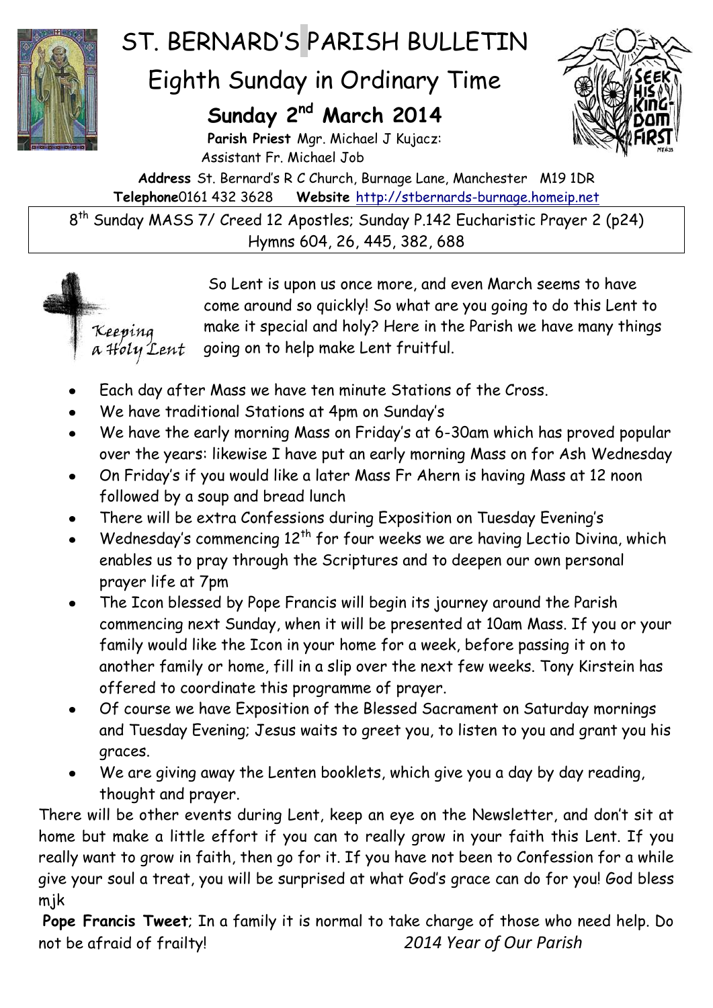

# ST. BERNARD'S PARISH BULLETIN

## Eighth Sunday in Ordinary Time

### **Sunday 2 nd March 2014**

**Parish Priest** Mgr. Michael J Kujacz: Assistant Fr. Michael Job

**Address** St. Bernard's R C Church, Burnage Lane, Manchester M19 1DR **Telephone**0161 432 3628 **Website** [http://stbernards-burnage.homeip.net](http://stbernards-burnage.homeip.net/)

8 th Sunday MASS 7/ Creed 12 Apostles; Sunday P.142 Eucharistic Prayer 2 (p24) Hymns 604, 26, 445, 382, 688



So Lent is upon us once more, and even March seems to have come around so quickly! So what are you going to do this Lent to make it special and holy? Here in the Parish we have many things going on to help make Lent fruitful.

- Each day after Mass we have ten minute Stations of the Cross.
- We have traditional Stations at 4pm on Sunday's
- We have the early morning Mass on Friday's at 6-30am which has proved popular over the years: likewise I have put an early morning Mass on for Ash Wednesday
- On Friday's if you would like a later Mass Fr Ahern is having Mass at 12 noon  $\bullet$ followed by a soup and bread lunch
- There will be extra Confessions during Exposition on Tuesday Evening's
- Wednesday's commencing  $12<sup>th</sup>$  for four weeks we are having Lectio Divina, which enables us to pray through the Scriptures and to deepen our own personal prayer life at 7pm
- The Icon blessed by Pope Francis will begin its journey around the Parish commencing next Sunday, when it will be presented at 10am Mass. If you or your family would like the Icon in your home for a week, before passing it on to another family or home, fill in a slip over the next few weeks. Tony Kirstein has offered to coordinate this programme of prayer.
- Of course we have Exposition of the Blessed Sacrament on Saturday mornings and Tuesday Evening; Jesus waits to greet you, to listen to you and grant you his graces.
- We are giving away the Lenten booklets, which give you a day by day reading, thought and prayer.

There will be other events during Lent, keep an eye on the Newsletter, and don't sit at home but make a little effort if you can to really grow in your faith this Lent. If you really want to grow in faith, then go for it. If you have not been to Confession for a while give your soul a treat, you will be surprised at what God's grace can do for you! God bless mjk

**Pope Francis Tweet**; In a family it is normal to take charge of those who need help. Do not be afraid of frailty! *2014 Year of Our Parish*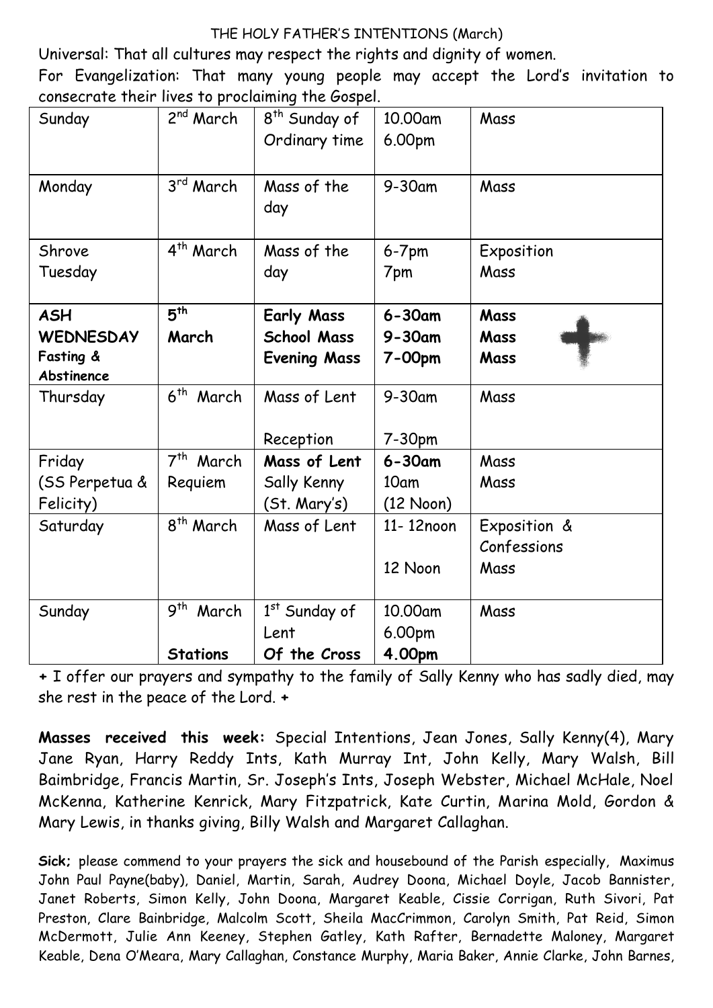#### THE HOLY FATHER'S INTENTIONS (March)

Universal: That all cultures may respect the rights and dignity of women.

For Evangelization: That many young people may accept the Lord's invitation to consecrate their lives to proclaiming the Gospel.

| Sunday           | 2 <sup>nd</sup> March    | 8 <sup>th</sup> Sunday of | 10.00am             | Mass         |
|------------------|--------------------------|---------------------------|---------------------|--------------|
|                  |                          | Ordinary time             | 6.00pm              |              |
|                  |                          |                           |                     |              |
| Monday           | 3rd March                | Mass of the               | $9-30$ am           | Mass         |
|                  |                          | day                       |                     |              |
|                  |                          |                           |                     |              |
| Shrove           | 4 <sup>th</sup> March    | Mass of the               | $6-7$ pm            | Exposition   |
| Tuesday          |                          | day                       | 7pm                 | Mass         |
|                  |                          |                           |                     |              |
| <b>ASH</b>       | 5 <sup>th</sup>          | <b>Early Mass</b>         | $6 - 30$ am         | Mass         |
| <b>WEDNESDAY</b> | March                    | <b>School Mass</b>        | $9 - 30$ am         | Mass         |
| Fasting &        |                          | <b>Evening Mass</b>       | 7-00pm              | Mass         |
| Abstinence       |                          |                           |                     |              |
| Thursday         | 6 <sup>th</sup> March    | Mass of Lent              | $9-30$ am           | Mass         |
|                  |                          |                           |                     |              |
|                  |                          | Reception                 | 7-30pm              |              |
| Friday           | 7 <sup>th</sup> March    | Mass of Lent              | $6 - 30$ am         | Mass         |
| (SS Perpetua &   | Requiem                  | Sally Kenny               | 10am                | Mass         |
| Felicity)        |                          | (St. Mary's)              | $(12 \text{ Noon})$ |              |
| Saturday         | 8 <sup>th</sup> March    | Mass of Lent              | 11-12noon           | Exposition & |
|                  |                          |                           |                     | Confessions  |
|                  |                          |                           | 12 Noon             | Mass         |
|                  |                          |                           |                     |              |
| Sunday           | 9 <sup>th</sup><br>March | 1st Sunday of             | 10.00am             | Mass         |
|                  |                          | Lent                      | 6.00pm              |              |
|                  | <b>Stations</b>          | Of the Cross              | 4.00pm              |              |

**+** I offer our prayers and sympathy to the family of Sally Kenny who has sadly died, may she rest in the peace of the Lord. **+**

**Masses received this week:** Special Intentions, Jean Jones, Sally Kenny(4), Mary Jane Ryan, Harry Reddy Ints, Kath Murray Int, John Kelly, Mary Walsh, Bill Baimbridge, Francis Martin, Sr. Joseph's Ints, Joseph Webster, Michael McHale, Noel McKenna, Katherine Kenrick, Mary Fitzpatrick, Kate Curtin, Marina Mold, Gordon & Mary Lewis, in thanks giving, Billy Walsh and Margaret Callaghan.

**Sick;** please commend to your prayers the sick and housebound of the Parish especially, Maximus John Paul Payne(baby), Daniel, Martin, Sarah, Audrey Doona, Michael Doyle, Jacob Bannister, Janet Roberts, Simon Kelly, John Doona, Margaret Keable, Cissie Corrigan, Ruth Sivori, Pat Preston, Clare Bainbridge, Malcolm Scott, Sheila MacCrimmon, Carolyn Smith, Pat Reid, Simon McDermott, Julie Ann Keeney, Stephen Gatley, Kath Rafter, Bernadette Maloney, Margaret Keable, Dena O'Meara, Mary Callaghan, Constance Murphy, Maria Baker, Annie Clarke, John Barnes,